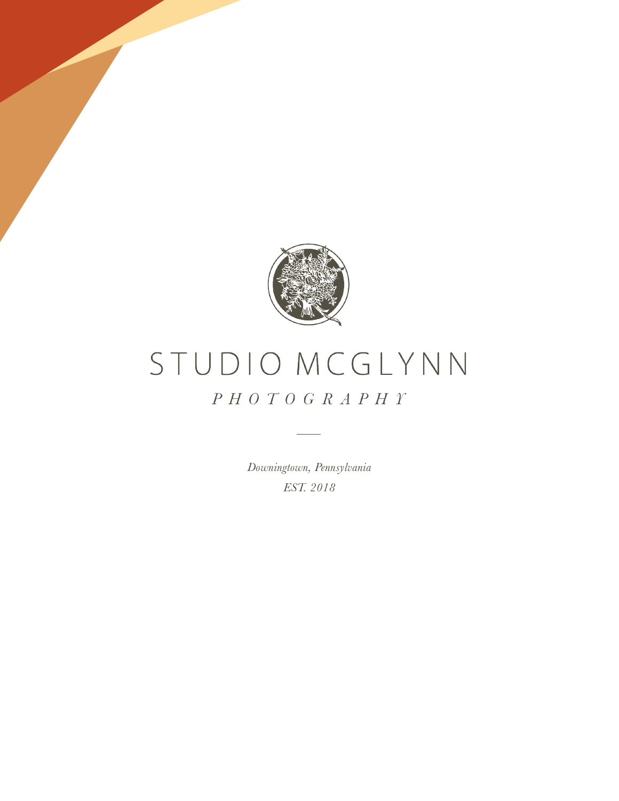

# STUDIO MCGLYNN  $P H O T O G R A P H T$

*Downingtown, Pennsylvania EST. 2018*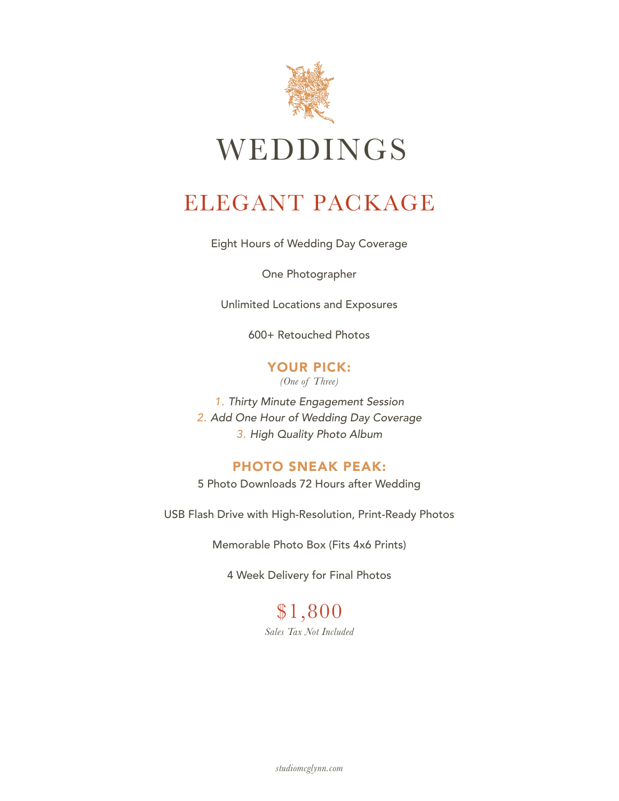

## ELEGANT PACKAGE

Eight Hours of Wedding Day Coverage

One Photographer

Unlimited Locations and Exposures

600+ Retouched Photos

YOUR PICK: *(One of Three)*

*1. Thirty Minute Engagement Session 2. Add One Hour of Wedding Day Coverage 3. High Quality Photo Album*

### PHOTO SNEAK PEAK:

5 Photo Downloads 72 Hours after Wedding

USB Flash Drive with High-Resolution, Print-Ready Photos

Memorable Photo Box (Fits 4x6 Prints)

4 Week Delivery for Final Photos

\$1,800 *Sales Tax Not Included* 

*studiomcglynn.com*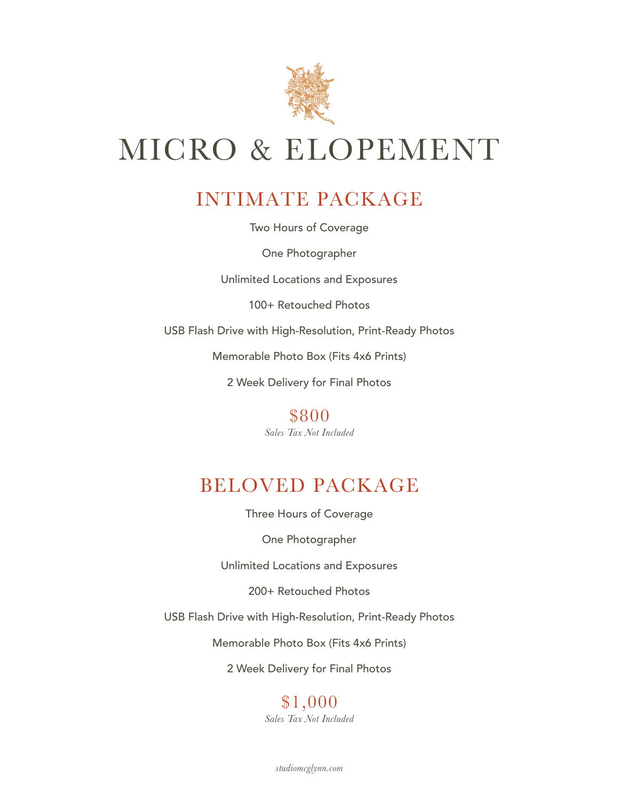

# MICRO & ELOPEMENT

### INTIMATE PACKAGE

Two Hours of Coverage

One Photographer

Unlimited Locations and Exposures

100+ Retouched Photos

USB Flash Drive with High-Resolution, Print-Ready Photos

Memorable Photo Box (Fits 4x6 Prints)

2 Week Delivery for Final Photos

\$800 *Sales Tax Not Included*

### BELOVED PACKAGE

Three Hours of Coverage

One Photographer

Unlimited Locations and Exposures

200+ Retouched Photos

USB Flash Drive with High-Resolution, Print-Ready Photos

Memorable Photo Box (Fits 4x6 Prints)

2 Week Delivery for Final Photos

#### \$1,000 *Sales Tax Not Included*

*studiomcglynn.com*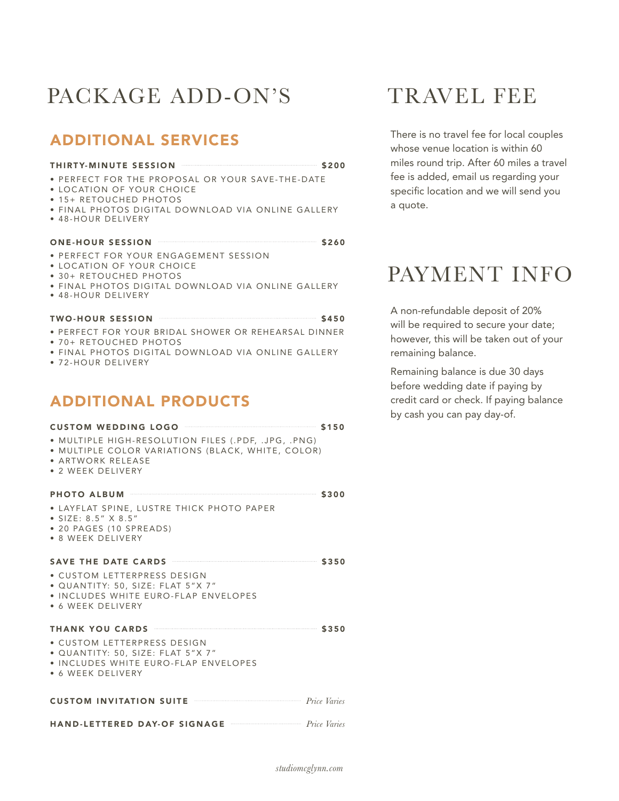## PACKAGE ADD-ON'S

### ADDITIONAL SERVICES

#### THIRTY-MINUTE SESSION **\$200**

- PERFECT FOR THE PROPOSAL OR YOUR SAVE-THE-DATE
- LOCATION OF YOUR CHOICE
- 15+ RETOUCHED PHOTOS
- FINAL PHOTOS DIGITAL DOWNLOAD VIA ONLINE GALLERY
- 48-HOUR DELIVERY

#### ONE-HOUR SESSION **\$260**

- PERFECT FOR YOUR ENGAGEMENT SESSION
- LOCATION OF YOUR CHOICE
- 30+ RETOUCHED PHOTOS
- FINAL PHOTOS DIGITAL DOWNLOAD VIA ONLINE GALLERY
- 48-HOUR DELIVERY

#### TWO-HOUR SESSION **\$450**

- PERFECT FOR YOUR BRIDAL SHOWER OR REHEARSAL DINNER
- 70+ RETOUCHED PHOTOS
- FINAL PHOTOS DIGITAL DOWNLOAD VIA ONLINE GALLERY
- 72-HOUR DELIVERY

### ADDITIONAL PRODUCTS

| CUSTOM WEDDING LOGO <b>SAN SERVICE SERVICE SERVICE</b>                                                                                                                                                                               |  |
|--------------------------------------------------------------------------------------------------------------------------------------------------------------------------------------------------------------------------------------|--|
| · MULTIPLE HIGH-RESOLUTION FILES (.PDF, .JPG, .PNG)<br>• MULTIPLE COLOR VARIATIONS (BLACK, WHITE, COLOR)<br>• ARTWORK RELEASE<br>• 2 WEEK DELIVERY                                                                                   |  |
| PHOTO ALBUM 3300                                                                                                                                                                                                                     |  |
| • LAYFLAT SPINE, LUSTRE THICK PHOTO PAPER<br>• $SIZE: 8.5" \times 8.5"$<br>• 20 PAGES (10 SPREADS)<br>• 8 WEEK DELIVERY                                                                                                              |  |
| SAVE THE DATE CARDS <b>CONSTRUCTED</b> \$350                                                                                                                                                                                         |  |
| • CUSTOM LETTERPRESS DESIGN<br>• QUANTITY: 50, SIZE: FLAT 5"X 7"<br>• INCLUDES WHITE EURO-FLAP ENVELOPES<br>• 6 WEEK DELIVERY                                                                                                        |  |
| <b>THANK YOU CARDS WELL BEEN AND ASSESSED AT A SAMPLE SET OF SAMPLE SET OF SAMPLE SET OF SAMPLE SET OF SAMPLE SET OF SAMPLE SET OF SAMPLE SET OF SAMPLE SET OF SAMPLE SET OF SAMPLE SET OF SAMPLE SET OF SAMPLE SET OF SAMPLE SE</b> |  |
| • CUSTOM LETTERPRESS DESIGN<br>• QUANTITY: 50, SIZE: FLAT 5"X 7"<br>• INCLUDES WHITE EURO-FLAP ENVELOPES<br>• 6 WEEK DELIVERY                                                                                                        |  |
| <b>CUSTOM INVITATION SUITE CUSTOM</b> <i>Price Varies</i>                                                                                                                                                                            |  |
| HAND-LETTERED DAY-OF SIGNAGE The Price Varies                                                                                                                                                                                        |  |

### TRAVEL FEE

There is no travel fee for local couples whose venue location is within 60 miles round trip. After 60 miles a travel fee is added, email us regarding your specific location and we will send you a quote.

## PAYMENT INFO

A non-refundable deposit of 20% will be required to secure your date; however, this will be taken out of your remaining balance.

Remaining balance is due 30 days before wedding date if paying by credit card or check. If paying balance by cash you can pay day-of.